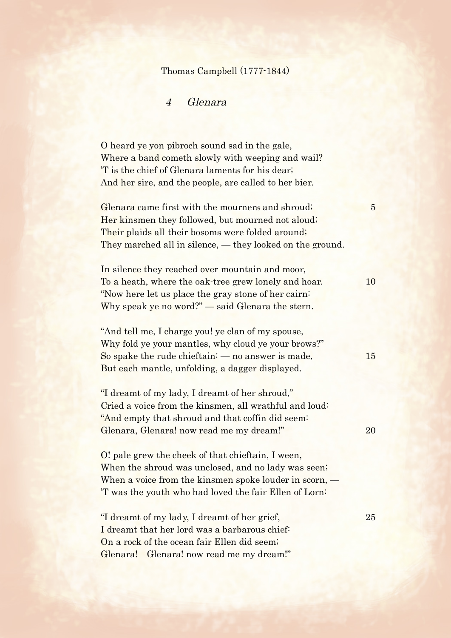## Thomas Campbell (1777-1844)

## 4 Glenara

O heard ye yon pibroch sound sad in the gale, Where a band cometh slowly with weeping and wail? 'T is the chief of Glenara laments for his dear; And her sire, and the people, are called to her bier.

Glenara came first with the mourners and shroud; 5 Her kinsmen they followed, but mourned not aloud; Their plaids all their bosoms were folded around; They marched all in silence, — they looked on the ground.

In silence they reached over mountain and moor, To a heath, where the oak-tree grew lonely and hoar. 10 "Now here let us place the gray stone of her cairn: Why speak ye no word?" — said Glenara the stern.

"And tell me, I charge you! ye clan of my spouse, Why fold ye your mantles, why cloud ye your brows?" So spake the rude chieftain:  $-$  no answer is made,  $15$ But each mantle, unfolding, a dagger displayed.

"I dreamt of my lady, I dreamt of her shroud," Cried a voice from the kinsmen, all wrathful and loud: "And empty that shroud and that coffin did seem: Glenara, Glenara! now read me my dream!" 20

O! pale grew the cheek of that chieftain, I ween, When the shroud was unclosed, and no lady was seen; When a voice from the kinsmen spoke louder in scorn, — 'T was the youth who had loved the fair Ellen of Lorn:

"I dreamt of my lady, I dreamt of her grief, 25 I dreamt that her lord was a barbarous chief: On a rock of the ocean fair Ellen did seem; Glenara! Glenara! now read me my dream!"